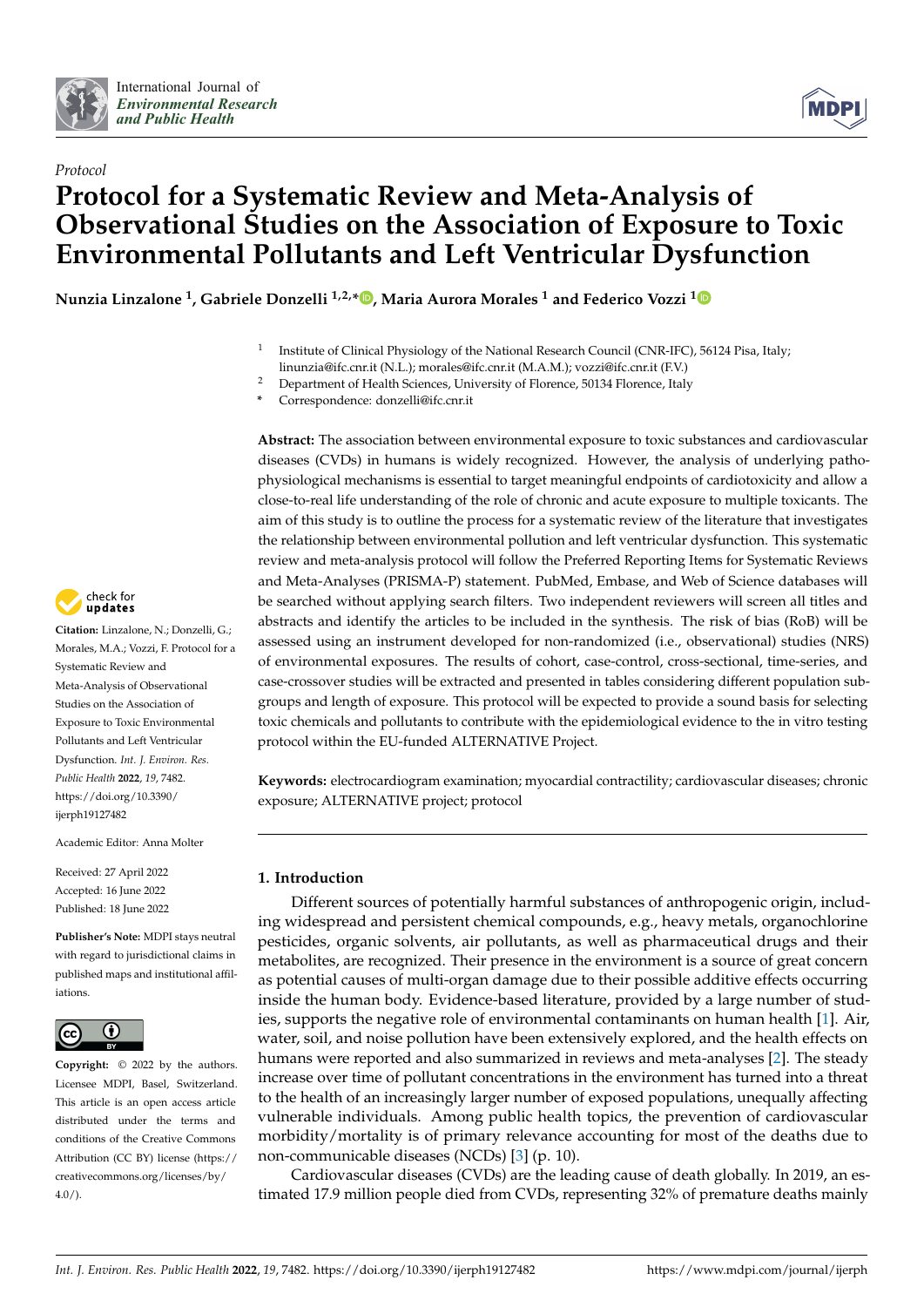



# *Protocol* **Protocol for a Systematic Review and Meta-Analysis of Observational Studies on the Association of Exposure to Toxic Environmental Pollutants and Left Ventricular Dysfunction**

**Nunzia Linzalone <sup>1</sup> , Gabriele Donzelli 1,2,\* [,](https://orcid.org/0000-0002-3365-3732) Maria Aurora Morales <sup>1</sup> and Federico Vozzi [1](https://orcid.org/0000-0001-5457-2328)**

- 1 Institute of Clinical Physiology of the National Research Council (CNR-IFC), 56124 Pisa, Italy; linunzia@ifc.cnr.it (N.L.); morales@ifc.cnr.it (M.A.M.); vozzi@ifc.cnr.it (F.V.)
- <sup>2</sup> Department of Health Sciences, University of Florence, 50134 Florence, Italy

**Abstract:** The association between environmental exposure to toxic substances and cardiovascular diseases (CVDs) in humans is widely recognized. However, the analysis of underlying pathophysiological mechanisms is essential to target meaningful endpoints of cardiotoxicity and allow a close-to-real life understanding of the role of chronic and acute exposure to multiple toxicants. The aim of this study is to outline the process for a systematic review of the literature that investigates the relationship between environmental pollution and left ventricular dysfunction. This systematic review and meta-analysis protocol will follow the Preferred Reporting Items for Systematic Reviews and Meta-Analyses (PRISMA-P) statement. PubMed, Embase, and Web of Science databases will be searched without applying search filters. Two independent reviewers will screen all titles and abstracts and identify the articles to be included in the synthesis. The risk of bias (RoB) will be assessed using an instrument developed for non-randomized (i.e., observational) studies (NRS) of environmental exposures. The results of cohort, case-control, cross-sectional, time-series, and case-crossover studies will be extracted and presented in tables considering different population subgroups and length of exposure. This protocol will be expected to provide a sound basis for selecting toxic chemicals and pollutants to contribute with the epidemiological evidence to the in vitro testing protocol within the EU-funded ALTERNATIVE Project.

**Keywords:** electrocardiogram examination; myocardial contractility; cardiovascular diseases; chronic exposure; ALTERNATIVE project; protocol

### **1. Introduction**

Different sources of potentially harmful substances of anthropogenic origin, including widespread and persistent chemical compounds, e.g., heavy metals, organochlorine pesticides, organic solvents, air pollutants, as well as pharmaceutical drugs and their metabolites, are recognized. Their presence in the environment is a source of great concern as potential causes of multi-organ damage due to their possible additive effects occurring inside the human body. Evidence-based literature, provided by a large number of studies, supports the negative role of environmental contaminants on human health [\[1\]](#page-6-0). Air, water, soil, and noise pollution have been extensively explored, and the health effects on humans were reported and also summarized in reviews and meta-analyses [\[2\]](#page-6-1). The steady increase over time of pollutant concentrations in the environment has turned into a threat to the health of an increasingly larger number of exposed populations, unequally affecting vulnerable individuals. Among public health topics, the prevention of cardiovascular morbidity/mortality is of primary relevance accounting for most of the deaths due to non-communicable diseases (NCDs) [\[3\]](#page-6-2) (p. 10).

Cardiovascular diseases (CVDs) are the leading cause of death globally. In 2019, an estimated 17.9 million people died from CVDs, representing 32% of premature deaths mainly



**Citation:** Linzalone, N.; Donzelli, G.; Morales, M.A.; Vozzi, F. Protocol for a Systematic Review and Meta-Analysis of Observational Studies on the Association of Exposure to Toxic Environmental Pollutants and Left Ventricular Dysfunction. *Int. J. Environ. Res. Public Health* **2022**, *19*, 7482. [https://doi.org/10.3390/](https://doi.org/10.3390/ijerph19127482) [ijerph19127482](https://doi.org/10.3390/ijerph19127482)

Academic Editor: Anna Molter

Received: 27 April 2022 Accepted: 16 June 2022 Published: 18 June 2022

**Publisher's Note:** MDPI stays neutral with regard to jurisdictional claims in published maps and institutional affiliations.



**Copyright:** © 2022 by the authors. Licensee MDPI, Basel, Switzerland. This article is an open access article distributed under the terms and conditions of the Creative Commons Attribution (CC BY) license [\(https://](https://creativecommons.org/licenses/by/4.0/) [creativecommons.org/licenses/by/](https://creativecommons.org/licenses/by/4.0/)  $4.0/$ ).

**<sup>\*</sup>** Correspondence: donzelli@ifc.cnr.it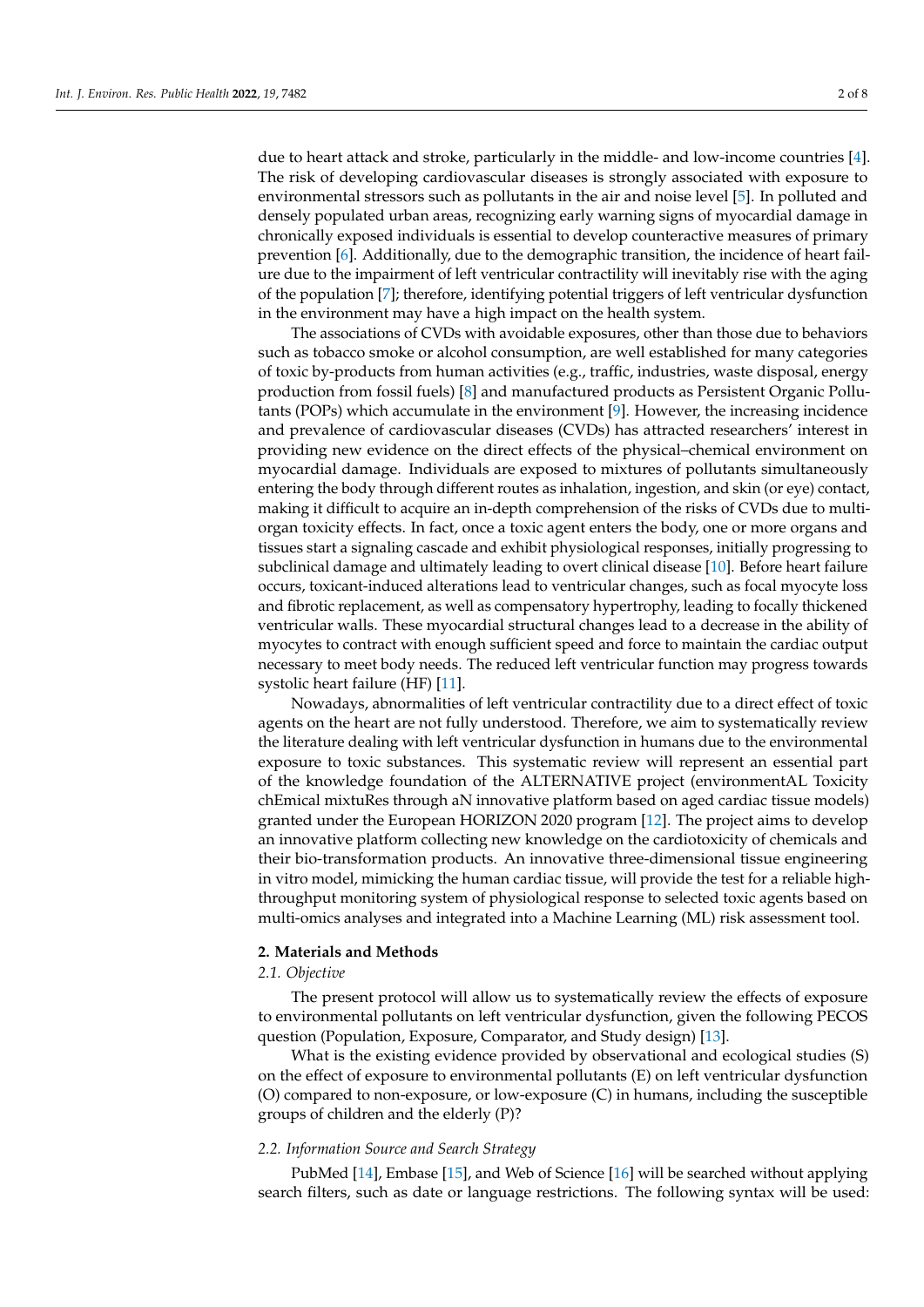due to heart attack and stroke, particularly in the middle- and low-income countries [\[4\]](#page-6-3). The risk of developing cardiovascular diseases is strongly associated with exposure to environmental stressors such as pollutants in the air and noise level [\[5\]](#page-6-4). In polluted and densely populated urban areas, recognizing early warning signs of myocardial damage in chronically exposed individuals is essential to develop counteractive measures of primary prevention [\[6\]](#page-6-5). Additionally, due to the demographic transition, the incidence of heart failure due to the impairment of left ventricular contractility will inevitably rise with the aging of the population [\[7\]](#page-6-6); therefore, identifying potential triggers of left ventricular dysfunction in the environment may have a high impact on the health system.

The associations of CVDs with avoidable exposures, other than those due to behaviors such as tobacco smoke or alcohol consumption, are well established for many categories of toxic by-products from human activities (e.g., traffic, industries, waste disposal, energy production from fossil fuels) [\[8\]](#page-6-7) and manufactured products as Persistent Organic Pollutants (POPs) which accumulate in the environment [\[9\]](#page-6-8). However, the increasing incidence and prevalence of cardiovascular diseases (CVDs) has attracted researchers' interest in providing new evidence on the direct effects of the physical–chemical environment on myocardial damage. Individuals are exposed to mixtures of pollutants simultaneously entering the body through different routes as inhalation, ingestion, and skin (or eye) contact, making it difficult to acquire an in-depth comprehension of the risks of CVDs due to multiorgan toxicity effects. In fact, once a toxic agent enters the body, one or more organs and tissues start a signaling cascade and exhibit physiological responses, initially progressing to subclinical damage and ultimately leading to overt clinical disease [\[10\]](#page-6-9). Before heart failure occurs, toxicant-induced alterations lead to ventricular changes, such as focal myocyte loss and fibrotic replacement, as well as compensatory hypertrophy, leading to focally thickened ventricular walls. These myocardial structural changes lead to a decrease in the ability of myocytes to contract with enough sufficient speed and force to maintain the cardiac output necessary to meet body needs. The reduced left ventricular function may progress towards systolic heart failure (HF) [\[11\]](#page-6-10).

Nowadays, abnormalities of left ventricular contractility due to a direct effect of toxic agents on the heart are not fully understood. Therefore, we aim to systematically review the literature dealing with left ventricular dysfunction in humans due to the environmental exposure to toxic substances. This systematic review will represent an essential part of the knowledge foundation of the ALTERNATIVE project (environmentAL Toxicity chEmical mixtuRes through aN innovative platform based on aged cardiac tissue models) granted under the European HORIZON 2020 program [\[12\]](#page-6-11). The project aims to develop an innovative platform collecting new knowledge on the cardiotoxicity of chemicals and their bio-transformation products. An innovative three-dimensional tissue engineering in vitro model, mimicking the human cardiac tissue, will provide the test for a reliable highthroughput monitoring system of physiological response to selected toxic agents based on multi-omics analyses and integrated into a Machine Learning (ML) risk assessment tool.

#### **2. Materials and Methods**

#### *2.1. Objective*

The present protocol will allow us to systematically review the effects of exposure to environmental pollutants on left ventricular dysfunction, given the following PECOS question (Population, Exposure, Comparator, and Study design) [\[13\]](#page-6-12).

What is the existing evidence provided by observational and ecological studies (S) on the effect of exposure to environmental pollutants (E) on left ventricular dysfunction (O) compared to non-exposure, or low-exposure (C) in humans, including the susceptible groups of children and the elderly (P)?

#### *2.2. Information Source and Search Strategy*

PubMed [\[14\]](#page-6-13), Embase [\[15\]](#page-6-14), and Web of Science [\[16\]](#page-6-15) will be searched without applying search filters, such as date or language restrictions. The following syntax will be used: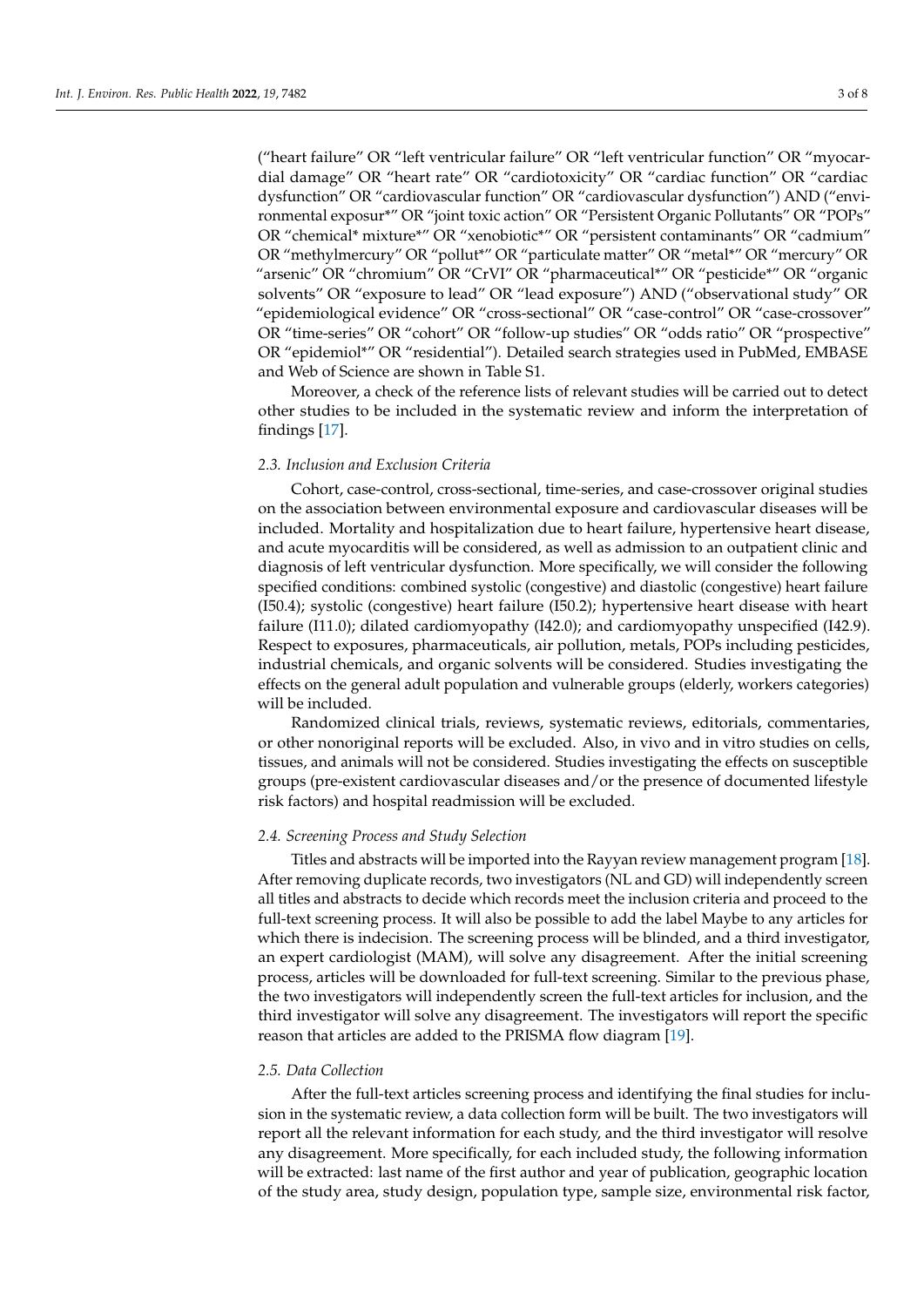("heart failure" OR "left ventricular failure" OR "left ventricular function" OR "myocardial damage" OR "heart rate" OR "cardiotoxicity" OR "cardiac function" OR "cardiac dysfunction" OR "cardiovascular function" OR "cardiovascular dysfunction") AND ("environmental exposur\*" OR "joint toxic action" OR "Persistent Organic Pollutants" OR "POPs" OR "chemical\* mixture\*" OR "xenobiotic\*" OR "persistent contaminants" OR "cadmium" OR "methylmercury" OR "pollut\*" OR "particulate matter" OR "metal\*" OR "mercury" OR "arsenic" OR "chromium" OR "CrVI" OR "pharmaceutical\*" OR "pesticide\*" OR "organic solvents" OR "exposure to lead" OR "lead exposure") AND ("observational study" OR "epidemiological evidence" OR "cross-sectional" OR "case-control" OR "case-crossover" OR "time-series" OR "cohort" OR "follow-up studies" OR "odds ratio" OR "prospective" OR "epidemiol\*" OR "residential"). Detailed search strategies used in PubMed, EMBASE and Web of Science are shown in Table S1.

Moreover, a check of the reference lists of relevant studies will be carried out to detect other studies to be included in the systematic review and inform the interpretation of findings [\[17\]](#page-6-16).

#### *2.3. Inclusion and Exclusion Criteria*

Cohort, case-control, cross-sectional, time-series, and case-crossover original studies on the association between environmental exposure and cardiovascular diseases will be included. Mortality and hospitalization due to heart failure, hypertensive heart disease, and acute myocarditis will be considered, as well as admission to an outpatient clinic and diagnosis of left ventricular dysfunction. More specifically, we will consider the following specified conditions: combined systolic (congestive) and diastolic (congestive) heart failure (I50.4); systolic (congestive) heart failure (I50.2); hypertensive heart disease with heart failure (I11.0); dilated cardiomyopathy (I42.0); and cardiomyopathy unspecified (I42.9). Respect to exposures, pharmaceuticals, air pollution, metals, POPs including pesticides, industrial chemicals, and organic solvents will be considered. Studies investigating the effects on the general adult population and vulnerable groups (elderly, workers categories) will be included.

Randomized clinical trials, reviews, systematic reviews, editorials, commentaries, or other nonoriginal reports will be excluded. Also, in vivo and in vitro studies on cells, tissues, and animals will not be considered. Studies investigating the effects on susceptible groups (pre-existent cardiovascular diseases and/or the presence of documented lifestyle risk factors) and hospital readmission will be excluded.

#### *2.4. Screening Process and Study Selection*

Titles and abstracts will be imported into the Rayyan review management program [\[18\]](#page-6-17). After removing duplicate records, two investigators (NL and GD) will independently screen all titles and abstracts to decide which records meet the inclusion criteria and proceed to the full-text screening process. It will also be possible to add the label Maybe to any articles for which there is indecision. The screening process will be blinded, and a third investigator, an expert cardiologist (MAM), will solve any disagreement. After the initial screening process, articles will be downloaded for full-text screening. Similar to the previous phase, the two investigators will independently screen the full-text articles for inclusion, and the third investigator will solve any disagreement. The investigators will report the specific reason that articles are added to the PRISMA flow diagram [\[19\]](#page-6-18).

#### *2.5. Data Collection*

After the full-text articles screening process and identifying the final studies for inclusion in the systematic review, a data collection form will be built. The two investigators will report all the relevant information for each study, and the third investigator will resolve any disagreement. More specifically, for each included study, the following information will be extracted: last name of the first author and year of publication, geographic location of the study area, study design, population type, sample size, environmental risk factor,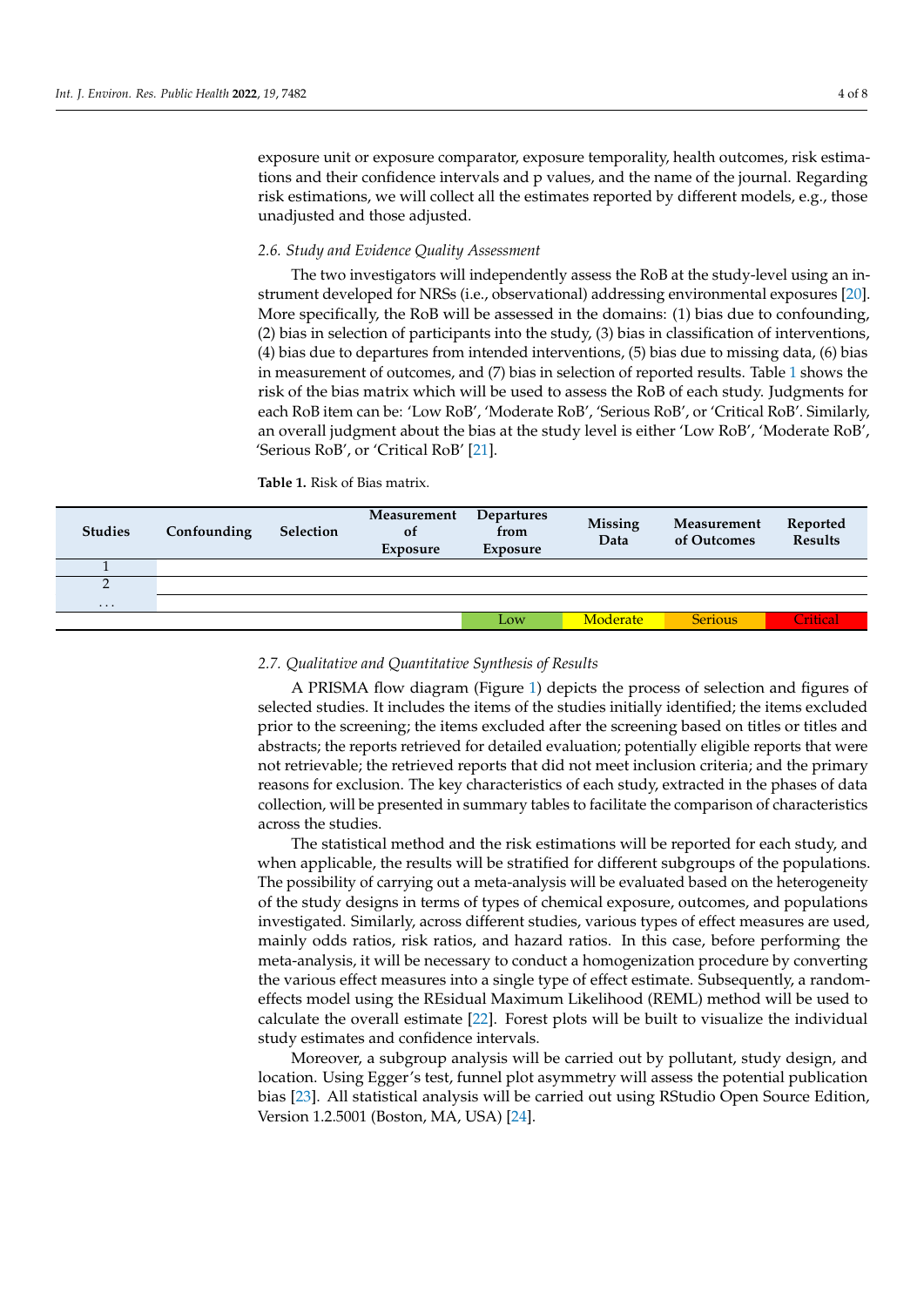exposure unit or exposure comparator, exposure temporality, health outcomes, risk estimations and their confidence intervals and p values, and the name of the journal. Regarding risk estimations, we will collect all the estimates reported by different models, e.g., those unadjusted and those adjusted.

#### *2.6. Study and Evidence Quality Assessment*

The two investigators will independently assess the RoB at the study-level using an instrument developed for NRSs (i.e., observational) addressing environmental exposures [\[20\]](#page-6-19). More specifically, the RoB will be assessed in the domains: (1) bias due to confounding, (2) bias in selection of participants into the study, (3) bias in classification of interventions, (4) bias due to departures from intended interventions, (5) bias due to missing data, (6) bias in measurement of outcomes, and (7) bias in selection of reported results. Table [1](#page-3-0) shows the risk of the bias matrix which will be used to assess the RoB of each study. Judgments for each RoB item can be: 'Low RoB', 'Moderate RoB', 'Serious RoB', or 'Critical RoB'. Similarly, an overall judgment about the bias at the study level is either 'Low RoB', 'Moderate RoB', 'Serious RoB', or 'Critical RoB' [\[21\]](#page-6-20).

<span id="page-3-0"></span>**Table 1.** Risk of Bias matrix.

| <b>Studies</b> | Confounding | <b>Selection</b> | Measurement<br><b>of</b><br>Exposure | <b>Departures</b><br>from<br>Exposure | <b>Missing</b><br>Data | Measurement<br>of Outcomes | Reported<br><b>Results</b> |
|----------------|-------------|------------------|--------------------------------------|---------------------------------------|------------------------|----------------------------|----------------------------|
|                |             |                  |                                      |                                       |                        |                            |                            |
| ◠              |             |                  |                                      |                                       |                        |                            |                            |
| $\cdots$       |             |                  |                                      |                                       |                        |                            |                            |
|                |             |                  |                                      | Low                                   | Moderate               | <b>Serious</b>             | <b>Tritical</b>            |

#### *2.7. Qualitative and Quantitative Synthesis of Results*

A PRISMA flow diagram (Figure [1\)](#page-4-0) depicts the process of selection and figures of selected studies. It includes the items of the studies initially identified; the items excluded prior to the screening; the items excluded after the screening based on titles or titles and abstracts; the reports retrieved for detailed evaluation; potentially eligible reports that were not retrievable; the retrieved reports that did not meet inclusion criteria; and the primary reasons for exclusion. The key characteristics of each study, extracted in the phases of data collection, will be presented in summary tables to facilitate the comparison of characteristics across the studies.

The statistical method and the risk estimations will be reported for each study, and when applicable, the results will be stratified for different subgroups of the populations. The possibility of carrying out a meta-analysis will be evaluated based on the heterogeneity of the study designs in terms of types of chemical exposure, outcomes, and populations investigated. Similarly, across different studies, various types of effect measures are used, mainly odds ratios, risk ratios, and hazard ratios. In this case, before performing the meta-analysis, it will be necessary to conduct a homogenization procedure by converting the various effect measures into a single type of effect estimate. Subsequently, a randomeffects model using the REsidual Maximum Likelihood (REML) method will be used to calculate the overall estimate [\[22\]](#page-6-21). Forest plots will be built to visualize the individual study estimates and confidence intervals.

Moreover, a subgroup analysis will be carried out by pollutant, study design, and location. Using Egger's test, funnel plot asymmetry will assess the potential publication bias [\[23\]](#page-7-0). All statistical analysis will be carried out using RStudio Open Source Edition, Version 1.2.5001 (Boston, MA, USA) [\[24\]](#page-7-1).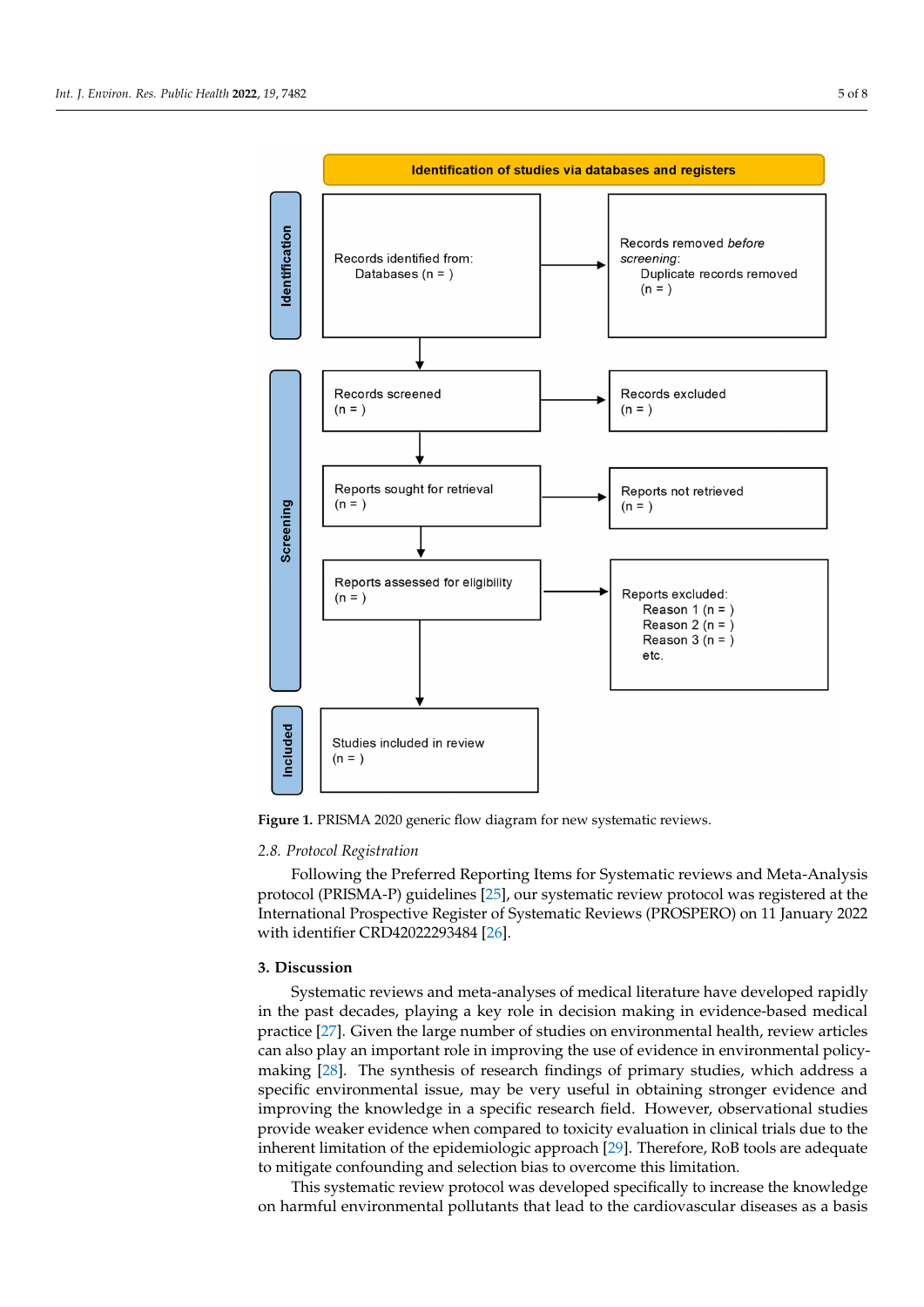<span id="page-4-0"></span>

**Figure 1.** PRISMA 2020 generic flow diagram for new systematic reviews. **Figure 1.** PRISMA 2020 generic flow diagram for new systematic reviews.

## *2.8. Protocol Registration 2.8. Protocol Registration*

Following the Preferred Reporting Items for Systematic reviews and Meta-Analysis Following the Preferred Reporting Items for Systematic reviews and Meta-Analysis protocol (PRISMA-P) guidelines [25], our systematic review protocol was registered at the protocol (PRISMA-P) guidelines [\[25\]](#page-7-2), our systematic review protocol was registered at the International Prospective Register of Systematic Reviews (PROSPERO) on 11 January 2022 International Prospective Register of Systematic Reviews (PROSPERO) on 11 January 2022 with identifier CRD42022293484 [26]. with identifier CRD42022293484 [\[26\]](#page-7-3).

## **3. Discussion 3. Discussion**

Systematic reviews and meta-analyses of medical literature have developed rapidly in the past decades, playing a key role in decision making in evidence-based medical practice [\[27\]](#page-7-4). Given the large number of studies on environmental health, review articles practice [27]. Given the large number of studies on environmental health, review articles can also play an important role in improving the use of evidence in environmental policy-eart also play an important role in improving the ase of evidence in environmental policy-<br>making [\[28\]](#page-7-5). The synthesis of research findings of primary studies, which address a making [28]. The synthesis of research findings of primary studies, which didness a specific environmental issue, may be very useful in obtaining stronger evidence and improving the knowledge in a specific research field. However, observational studies ing the knowledge in a specific research field. However, observational studies provide provide weaker evidence when compared to toxicity evaluation in clinical trials due to the inherent limitation of the epidemiologic approach [\[29\]](#page-7-6). Therefore, RoB tools are adequate Systematic reviews and meta-analyses of medical literature have developed rapidly to mitigate confounding and selection bias to overcome this limitation.

This systematic review protocol was developed specifically to increase the knowledge on harmful environmental pollutants that lead to the cardiovascular diseases as a basis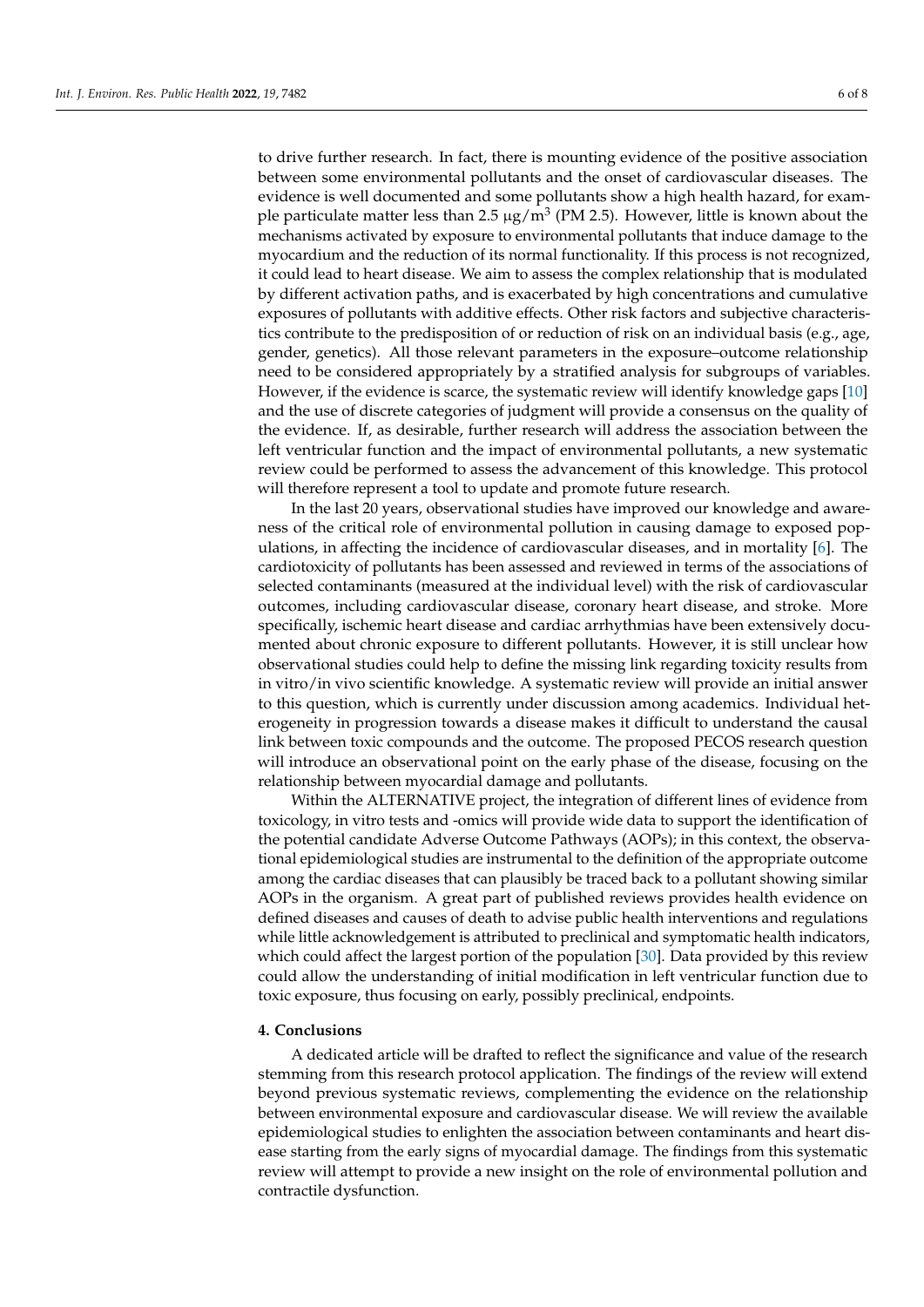to drive further research. In fact, there is mounting evidence of the positive association between some environmental pollutants and the onset of cardiovascular diseases. The evidence is well documented and some pollutants show a high health hazard, for example particulate matter less than 2.5  $\mu$ g/m $^3$  (PM 2.5). However, little is known about the mechanisms activated by exposure to environmental pollutants that induce damage to the myocardium and the reduction of its normal functionality. If this process is not recognized, it could lead to heart disease. We aim to assess the complex relationship that is modulated by different activation paths, and is exacerbated by high concentrations and cumulative exposures of pollutants with additive effects. Other risk factors and subjective characteristics contribute to the predisposition of or reduction of risk on an individual basis (e.g., age, gender, genetics). All those relevant parameters in the exposure–outcome relationship need to be considered appropriately by a stratified analysis for subgroups of variables. However, if the evidence is scarce, the systematic review will identify knowledge gaps [\[10\]](#page-6-9) and the use of discrete categories of judgment will provide a consensus on the quality of the evidence. If, as desirable, further research will address the association between the left ventricular function and the impact of environmental pollutants, a new systematic review could be performed to assess the advancement of this knowledge. This protocol will therefore represent a tool to update and promote future research.

In the last 20 years, observational studies have improved our knowledge and awareness of the critical role of environmental pollution in causing damage to exposed populations, in affecting the incidence of cardiovascular diseases, and in mortality [\[6\]](#page-6-5). The cardiotoxicity of pollutants has been assessed and reviewed in terms of the associations of selected contaminants (measured at the individual level) with the risk of cardiovascular outcomes, including cardiovascular disease, coronary heart disease, and stroke. More specifically, ischemic heart disease and cardiac arrhythmias have been extensively documented about chronic exposure to different pollutants. However, it is still unclear how observational studies could help to define the missing link regarding toxicity results from in vitro/in vivo scientific knowledge. A systematic review will provide an initial answer to this question, which is currently under discussion among academics. Individual heterogeneity in progression towards a disease makes it difficult to understand the causal link between toxic compounds and the outcome. The proposed PECOS research question will introduce an observational point on the early phase of the disease, focusing on the relationship between myocardial damage and pollutants.

Within the ALTERNATIVE project, the integration of different lines of evidence from toxicology, in vitro tests and -omics will provide wide data to support the identification of the potential candidate Adverse Outcome Pathways (AOPs); in this context, the observational epidemiological studies are instrumental to the definition of the appropriate outcome among the cardiac diseases that can plausibly be traced back to a pollutant showing similar AOPs in the organism. A great part of published reviews provides health evidence on defined diseases and causes of death to advise public health interventions and regulations while little acknowledgement is attributed to preclinical and symptomatic health indicators, which could affect the largest portion of the population [\[30\]](#page-7-7). Data provided by this review could allow the understanding of initial modification in left ventricular function due to toxic exposure, thus focusing on early, possibly preclinical, endpoints.

#### **4. Conclusions**

A dedicated article will be drafted to reflect the significance and value of the research stemming from this research protocol application. The findings of the review will extend beyond previous systematic reviews, complementing the evidence on the relationship between environmental exposure and cardiovascular disease. We will review the available epidemiological studies to enlighten the association between contaminants and heart disease starting from the early signs of myocardial damage. The findings from this systematic review will attempt to provide a new insight on the role of environmental pollution and contractile dysfunction.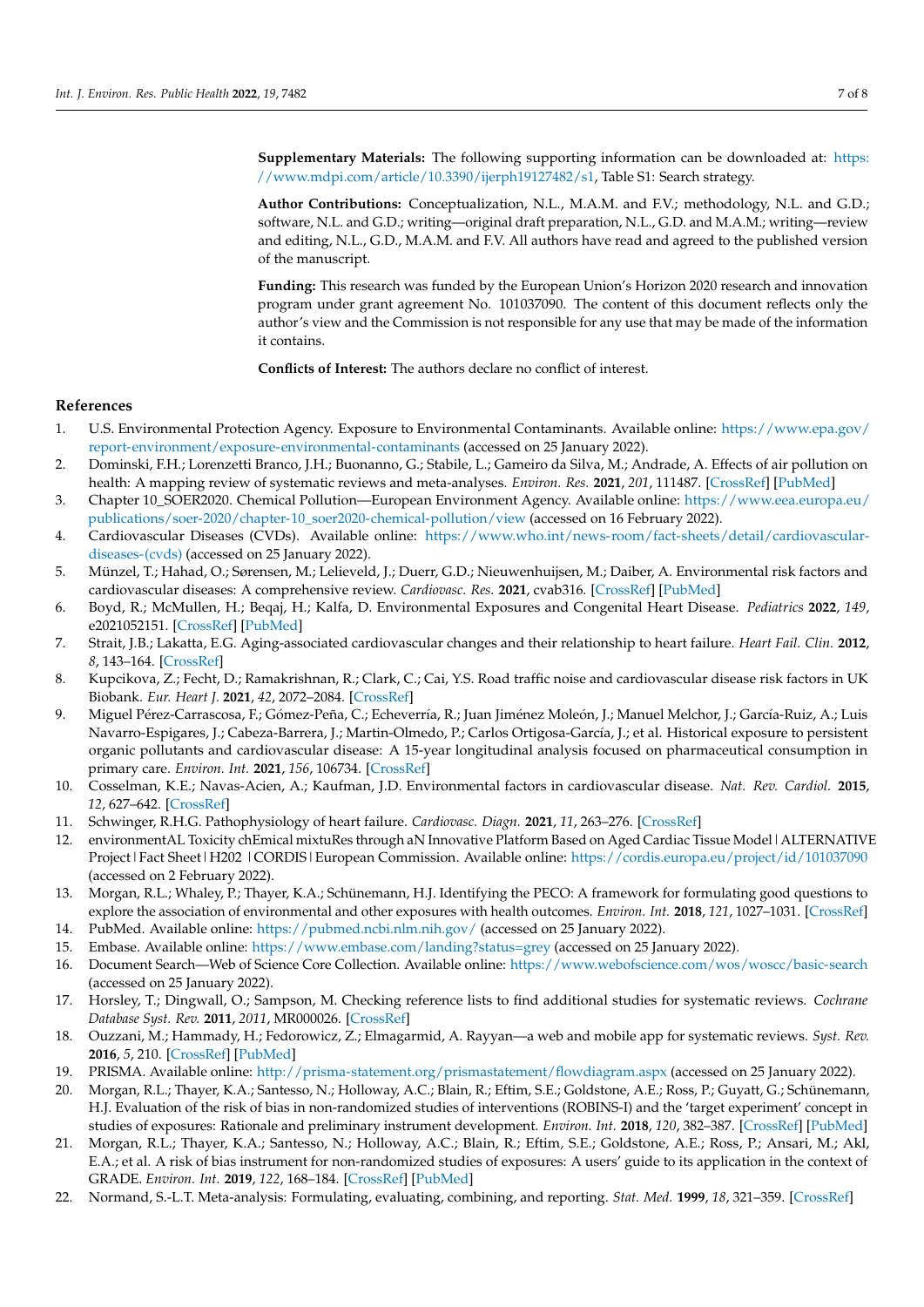**Supplementary Materials:** The following supporting information can be downloaded at: [https:](https://www.mdpi.com/article/10.3390/ijerph19127482/s1) [//www.mdpi.com/article/10.3390/ijerph19127482/s1,](https://www.mdpi.com/article/10.3390/ijerph19127482/s1) Table S1: Search strategy.

**Author Contributions:** Conceptualization, N.L., M.A.M. and F.V.; methodology, N.L. and G.D.; software, N.L. and G.D.; writing—original draft preparation, N.L., G.D. and M.A.M.; writing—review and editing, N.L., G.D., M.A.M. and F.V. All authors have read and agreed to the published version of the manuscript.

**Funding:** This research was funded by the European Union's Horizon 2020 research and innovation program under grant agreement No. 101037090. The content of this document reflects only the author's view and the Commission is not responsible for any use that may be made of the information it contains.

**Conflicts of Interest:** The authors declare no conflict of interest.

#### **References**

- <span id="page-6-0"></span>1. U.S. Environmental Protection Agency. Exposure to Environmental Contaminants. Available online: [https://www.epa.gov/](https://www.epa.gov/report-environment/exposure-environmental-contaminants) [report-environment/exposure-environmental-contaminants](https://www.epa.gov/report-environment/exposure-environmental-contaminants) (accessed on 25 January 2022).
- <span id="page-6-1"></span>2. Dominski, F.H.; Lorenzetti Branco, J.H.; Buonanno, G.; Stabile, L.; Gameiro da Silva, M.; Andrade, A. Effects of air pollution on health: A mapping review of systematic reviews and meta-analyses. *Environ. Res.* **2021**, *201*, 111487. [\[CrossRef\]](http://doi.org/10.1016/j.envres.2021.111487) [\[PubMed\]](http://www.ncbi.nlm.nih.gov/pubmed/34116013)
- <span id="page-6-2"></span>3. Chapter 10\_SOER2020. Chemical Pollution—European Environment Agency. Available online: [https://www.eea.europa.eu/](https://www.eea.europa.eu/publications/soer-2020/chapter-10_soer2020-chemical-pollution/view) [publications/soer-2020/chapter-10\\_soer2020-chemical-pollution/view](https://www.eea.europa.eu/publications/soer-2020/chapter-10_soer2020-chemical-pollution/view) (accessed on 16 February 2022).
- <span id="page-6-3"></span>4. Cardiovascular Diseases (CVDs). Available online: [https://www.who.int/news-room/fact-sheets/detail/cardiovascular](https://www.who.int/news-room/fact-sheets/detail/cardiovascular-diseases-(cvds))[diseases-\(cvds\)](https://www.who.int/news-room/fact-sheets/detail/cardiovascular-diseases-(cvds)) (accessed on 25 January 2022).
- <span id="page-6-4"></span>5. Münzel, T.; Hahad, O.; Sørensen, M.; Lelieveld, J.; Duerr, G.D.; Nieuwenhuijsen, M.; Daiber, A. Environmental risk factors and cardiovascular diseases: A comprehensive review. *Cardiovasc. Res.* **2021**, cvab316. [\[CrossRef\]](http://doi.org/10.1093/cvr/cvab316) [\[PubMed\]](http://www.ncbi.nlm.nih.gov/pubmed/34609502)
- <span id="page-6-5"></span>6. Boyd, R.; McMullen, H.; Beqaj, H.; Kalfa, D. Environmental Exposures and Congenital Heart Disease. *Pediatrics* **2022**, *149*, e2021052151. [\[CrossRef\]](http://doi.org/10.1542/peds.2021-052151) [\[PubMed\]](http://www.ncbi.nlm.nih.gov/pubmed/34972224)
- <span id="page-6-6"></span>7. Strait, J.B.; Lakatta, E.G. Aging-associated cardiovascular changes and their relationship to heart failure. *Heart Fail. Clin.* **2012**, *8*, 143–164. [\[CrossRef\]](http://doi.org/10.1016/j.hfc.2011.08.011)
- <span id="page-6-7"></span>8. Kupcikova, Z.; Fecht, D.; Ramakrishnan, R.; Clark, C.; Cai, Y.S. Road traffic noise and cardiovascular disease risk factors in UK Biobank. *Eur. Heart J.* **2021**, *42*, 2072–2084. [\[CrossRef\]](http://doi.org/10.1093/eurheartj/ehab121)
- <span id="page-6-8"></span>9. Miguel Pérez-Carrascosa, F.; Gómez-Peña, C.; Echeverría, R.; Juan Jiménez Moleón, J.; Manuel Melchor, J.; García-Ruiz, A.; Luis Navarro-Espigares, J.; Cabeza-Barrera, J.; Martin-Olmedo, P.; Carlos Ortigosa-García, J.; et al. Historical exposure to persistent organic pollutants and cardiovascular disease: A 15-year longitudinal analysis focused on pharmaceutical consumption in primary care. *Environ. Int.* **2021**, *156*, 106734. [\[CrossRef\]](http://doi.org/10.1016/j.envint.2021.106734)
- <span id="page-6-9"></span>10. Cosselman, K.E.; Navas-Acien, A.; Kaufman, J.D. Environmental factors in cardiovascular disease. *Nat. Rev. Cardiol.* **2015**, *12*, 627–642. [\[CrossRef\]](http://doi.org/10.1038/nrcardio.2015.152)
- <span id="page-6-10"></span>11. Schwinger, R.H.G. Pathophysiology of heart failure. *Cardiovasc. Diagn.* **2021**, *11*, 263–276. [\[CrossRef\]](http://doi.org/10.21037/cdt-20-302)
- <span id="page-6-11"></span>12. environmentAL Toxicity chEmical mixtuRes through aN Innovative Platform Based on Aged Cardiac Tissue Model|ALTERNATIVE Project | Fact Sheet | H202 | CORDIS | European Commission. Available online: <https://cordis.europa.eu/project/id/101037090> (accessed on 2 February 2022).
- <span id="page-6-12"></span>13. Morgan, R.L.; Whaley, P.; Thayer, K.A.; Schünemann, H.J. Identifying the PECO: A framework for formulating good questions to explore the association of environmental and other exposures with health outcomes. *Environ. Int.* **2018**, *121*, 1027–1031. [\[CrossRef\]](http://doi.org/10.1016/j.envint.2018.07.015)
- <span id="page-6-13"></span>14. PubMed. Available online: <https://pubmed.ncbi.nlm.nih.gov/> (accessed on 25 January 2022).
- <span id="page-6-14"></span>15. Embase. Available online: <https://www.embase.com/landing?status=grey> (accessed on 25 January 2022).
- <span id="page-6-15"></span>16. Document Search—Web of Science Core Collection. Available online: <https://www.webofscience.com/wos/woscc/basic-search> (accessed on 25 January 2022).
- <span id="page-6-16"></span>17. Horsley, T.; Dingwall, O.; Sampson, M. Checking reference lists to find additional studies for systematic reviews. *Cochrane Database Syst. Rev.* **2011**, *2011*, MR000026. [\[CrossRef\]](http://doi.org/10.1002/14651858.MR000026.pub2)
- <span id="page-6-17"></span>18. Ouzzani, M.; Hammady, H.; Fedorowicz, Z.; Elmagarmid, A. Rayyan—a web and mobile app for systematic reviews. *Syst. Rev.* **2016**, *5*, 210. [\[CrossRef\]](http://doi.org/10.1186/s13643-016-0384-4) [\[PubMed\]](http://www.ncbi.nlm.nih.gov/pubmed/27919275)
- <span id="page-6-18"></span>19. PRISMA. Available online: <http://prisma-statement.org/prismastatement/flowdiagram.aspx> (accessed on 25 January 2022).
- <span id="page-6-19"></span>20. Morgan, R.L.; Thayer, K.A.; Santesso, N.; Holloway, A.C.; Blain, R.; Eftim, S.E.; Goldstone, A.E.; Ross, P.; Guyatt, G.; Schünemann, H.J. Evaluation of the risk of bias in non-randomized studies of interventions (ROBINS-I) and the 'target experiment' concept in studies of exposures: Rationale and preliminary instrument development. *Environ. Int.* **2018**, *120*, 382–387. [\[CrossRef\]](http://doi.org/10.1016/j.envint.2018.08.018) [\[PubMed\]](http://www.ncbi.nlm.nih.gov/pubmed/30125855)
- <span id="page-6-20"></span>21. Morgan, R.L.; Thayer, K.A.; Santesso, N.; Holloway, A.C.; Blain, R.; Eftim, S.E.; Goldstone, A.E.; Ross, P.; Ansari, M.; Akl, E.A.; et al. A risk of bias instrument for non-randomized studies of exposures: A users' guide to its application in the context of GRADE. *Environ. Int.* **2019**, *122*, 168–184. [\[CrossRef\]](http://doi.org/10.1016/j.envint.2018.11.004) [\[PubMed\]](http://www.ncbi.nlm.nih.gov/pubmed/30473382)
- <span id="page-6-21"></span>22. Normand, S.-L.T. Meta-analysis: Formulating, evaluating, combining, and reporting. *Stat. Med.* **1999**, *18*, 321–359. [\[CrossRef\]](http://doi.org/10.1002/(SICI)1097-0258(19990215)18:3<321::AID-SIM28>3.0.CO;2-P)